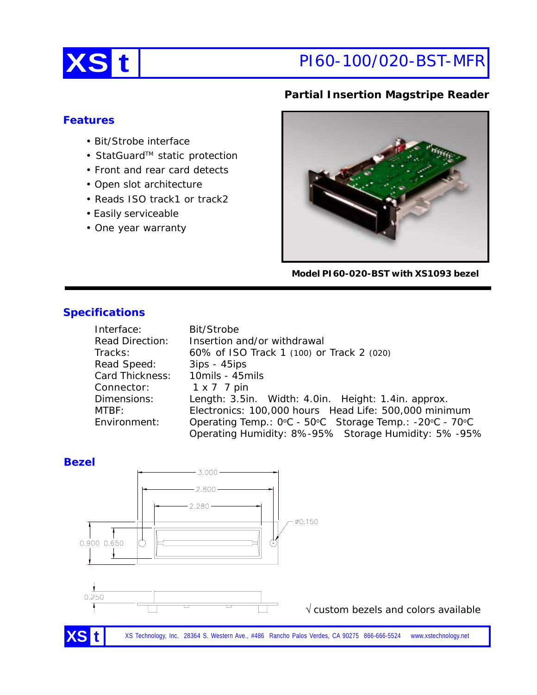

# **XS t** PI60-100/020-BST-MFR

#### **Partial Insertion Magstripe Reader**

#### **Features**

- Bit/Strobe interface
- StatGuard™ static protection
- Front and rear card detects
- Open slot architecture
- Reads ISO track1 or track2
- Easily serviceable
- One year warranty

**Model PI60-020-BST with XS1093 bezel**

### **Specifications**

| Interface:             | Bit/Strobe                                              |  |  |
|------------------------|---------------------------------------------------------|--|--|
| <b>Read Direction:</b> | Insertion and/or withdrawal                             |  |  |
| Tracks:                | 60% of ISO Track 1 (100) or Track 2 (020)               |  |  |
| Read Speed:            | $3ips - 45ips$                                          |  |  |
| Card Thickness:        | 10mils - 45mils                                         |  |  |
| Connector:             | $1 \times 7$ 7 pin                                      |  |  |
| Dimensions:            | Length: 3.5in. Width: 4.0in. Height: 1.4in. approx.     |  |  |
| MTBF:                  | Electronics: 100,000 hours Head Life: 500,000 minimum   |  |  |
| Environment:           | Operating Temp.: 0°C - 50°C Storage Temp.: -20°C - 70°C |  |  |
|                        | Operating Humidity: 8%-95% Storage Humidity: 5%-95%     |  |  |